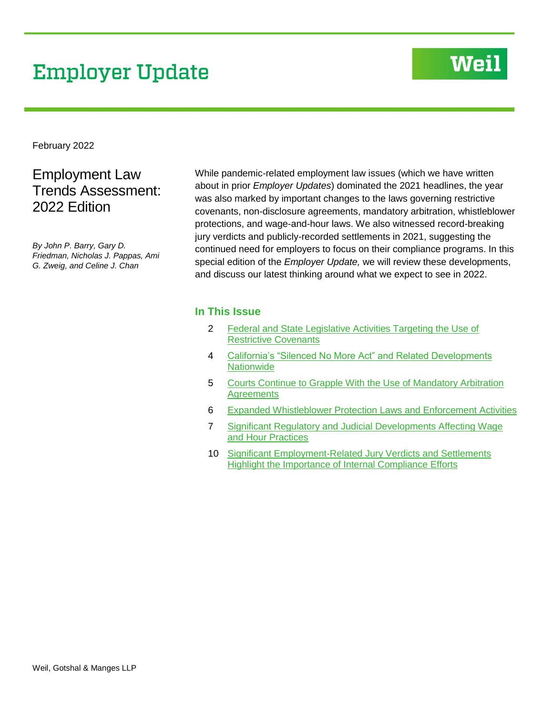# **Employer Update**

# **Weil**

February 2022

# Employment Law Trends Assessment: 2022 Edition

*By John P. Barry, Gary D. Friedman, Nicholas J. Pappas, Ami G. Zweig, and Celine J. Chan*

While pandemic-related employment law issues (which we have written about in prior *Employer Updates*) dominated the 2021 headlines, the year was also marked by important changes to the laws governing restrictive covenants, non-disclosure agreements, mandatory arbitration, whistleblower protections, and wage-and-hour laws. We also witnessed record-breaking jury verdicts and publicly-recorded settlements in 2021, suggesting the continued need for employers to focus on their compliance programs. In this special edition of the *Employer Update,* we will review these developments, and discuss our latest thinking around what we expect to see in 2022.

### **In This Issue**

- 2 [Federal and State Legislative Activities Targeting the Use of](#page-1-0)  [Restrictive Covenants](#page-1-0)
- 4 California's "Silenced No More Act" and Related Developments **[Nationwide](#page-3-0)**
- 5 [Courts Continue to Grapple With the Use of Mandatory Arbitration](#page-4-0)  **[Agreements](#page-4-0)**
- 6 [Expanded Whistleblower Protection Laws and Enforcement Activities](#page-5-0)
- 7 [Significant Regulatory and Judicial](#page-6-0) Developments Affecting Wage [and Hour Practices](#page-6-0)
- 10 Significant Employment-Related Jury Verdicts and Settlements [Highlight the Importance of Internal Compliance Efforts](#page-9-0)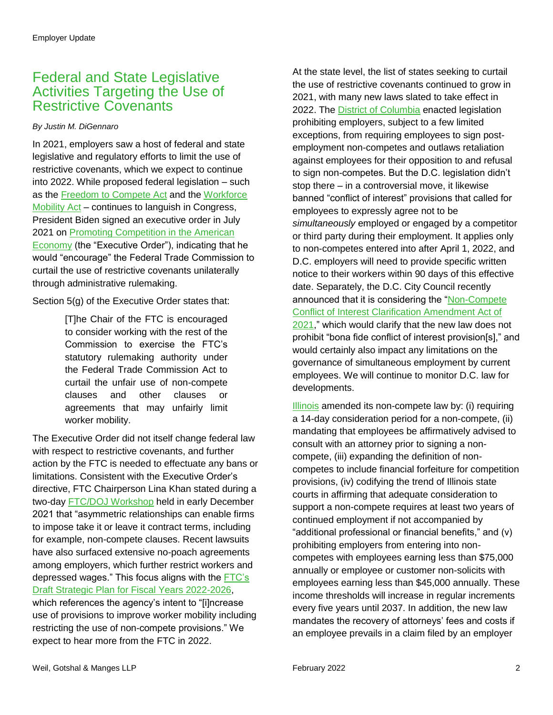# <span id="page-1-0"></span>Federal and State Legislative Activities Targeting the Use of Restrictive Covenants

#### *By Justin M. DiGennaro*

In 2021, employers saw a host of federal and state legislative and regulatory efforts to limit the use of restrictive covenants, which we expect to continue into 2022. While proposed federal legislation – such as the [Freedom to Compete Act](https://www.congress.gov/bill/116th-congress/senate-bill/124/text.) and the [Workforce](https://www.congress.gov/bill/117th-congress/senate-bill/483?s=1&r=22)  [Mobility Act](https://www.congress.gov/bill/117th-congress/senate-bill/483?s=1&r=22) – continues to languish in Congress, President Biden signed an executive order in July 2021 on [Promoting Competition in the American](https://www.whitehouse.gov/briefing-room/presidential-actions/2021/07/09/executive-order-on-promoting-competition-in-the-american-economy/)  [Economy](https://www.whitehouse.gov/briefing-room/presidential-actions/2021/07/09/executive-order-on-promoting-competition-in-the-american-economy/) (the "Executive Order"), indicating that he would "encourage" the Federal Trade Commission to curtail the use of restrictive covenants unilaterally through administrative rulemaking.

Section 5(g) of the Executive Order states that:

[T]he Chair of the FTC is encouraged to consider working with the rest of the Commission to exercise the FTC's statutory rulemaking authority under the Federal Trade Commission Act to curtail the unfair use of non-compete clauses and other clauses or agreements that may unfairly limit worker mobility.

The Executive Order did not itself change federal law with respect to restrictive covenants, and further action by the FTC is needed to effectuate any bans or limitations. Consistent with the Executive Order's directive, FTC Chairperson Lina Khan stated during a two-day [FTC/DOJ Workshop](https://www.ftc.gov/news-events/events-calendar/making-competition-work-promoting-competition-labor-markets) held in early December 2021 that "asymmetric relationships can enable firms to impose take it or leave it contract terms, including for example, non-compete clauses. Recent lawsuits have also surfaced extensive no-poach agreements among employers, which further restrict workers and depressed wages." This focus aligns with the [FTC's](https://www.regulations.gov/document/FTC-2021-0061-0001)  [Draft Strategic Plan for Fiscal Years 2022-2026,](https://www.regulations.gov/document/FTC-2021-0061-0001) which references the agency's intent to "[i]ncrease use of provisions to improve worker mobility including restricting the use of non-compete provisions." We expect to hear more from the FTC in 2022.

At the state level, the list of states seeking to curtail the use of restrictive covenants continued to grow in 2021, with many new laws slated to take effect in 2022. The [District of Columbia](https://code.dccouncil.us/us/dc/council/laws/23-209) enacted legislation prohibiting employers, subject to a few limited exceptions, from requiring employees to sign postemployment non-competes and outlaws retaliation against employees for their opposition to and refusal to sign non-competes. But the D.C. legislation didn't stop there – in a controversial move, it likewise banned "conflict of interest" provisions that called for employees to expressly agree not to be *simultaneously* employed or engaged by a competitor or third party during their employment. It applies only to non-competes entered into after April 1, 2022, and D.C. employers will need to provide specific written notice to their workers within 90 days of this effective date. Separately, the D.C. City Council recently announced that it is considering the ["Non-Compete](https://lims.dccouncil.us/Legislation/B24-0256)  [Conflict of Interest Clarification Amendment Act of](https://lims.dccouncil.us/Legislation/B24-0256)  [2021,](https://lims.dccouncil.us/Legislation/B24-0256)" which would clarify that the new law does not prohibit "bona fide conflict of interest provision[s]," and would certainly also impact any limitations on the governance of simultaneous employment by current employees. We will continue to monitor D.C. law for developments.

[Illinois](https://www.ilga.gov/legislation/fulltext.asp?DocName=10200SB0672ham001&GA=102&LegID=133278&SessionId=110&SpecSess=0&DocTypeId=SB&DocNum=0672&GAID=16&Session=) amended its non-compete law by: (i) requiring a 14-day consideration period for a non-compete, (ii) mandating that employees be affirmatively advised to consult with an attorney prior to signing a noncompete, (iii) expanding the definition of noncompetes to include financial forfeiture for competition provisions, (iv) codifying the trend of Illinois state courts in affirming that adequate consideration to support a non-compete requires at least two years of continued employment if not accompanied by "additional professional or financial benefits," and (v) prohibiting employers from entering into noncompetes with employees earning less than \$75,000 annually or employee or customer non-solicits with employees earning less than \$45,000 annually. These income thresholds will increase in regular increments every five years until 2037. In addition, the new law mandates the recovery of attorneys' fees and costs if an employee prevails in a claim filed by an employer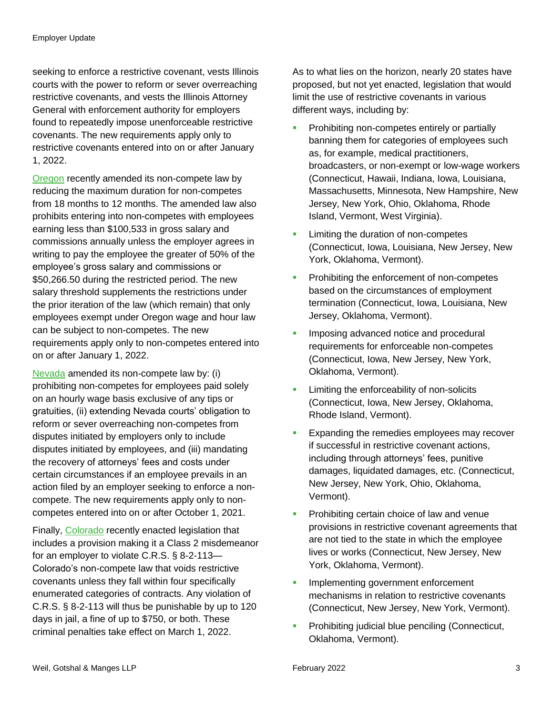seeking to enforce a restrictive covenant, vests Illinois courts with the power to reform or sever overreaching restrictive covenants, and vests the Illinois Attorney General with enforcement authority for employers found to repeatedly impose unenforceable restrictive covenants. The new requirements apply only to restrictive covenants entered into on or after January 1, 2022.

[Oregon](https://olis.oregonlegislature.gov/liz/2021R1/Downloads/MeasureDocument/SB169/Enrolled) recently amended its non-compete law by reducing the maximum duration for non-competes from 18 months to 12 months. The amended law also prohibits entering into non-competes with employees earning less than \$100,533 in gross salary and commissions annually unless the employer agrees in writing to pay the employee the greater of 50% of the employee's gross salary and commissions or \$50,266.50 during the restricted period. The new salary threshold supplements the restrictions under the prior iteration of the law (which remain) that only employees exempt under Oregon wage and hour law can be subject to non-competes. The new requirements apply only to non-competes entered into on or after January 1, 2022.

[Nevada](https://www.leg.state.nv.us/Session/81st2021/Bills/AB/AB47_EN.pdf) amended its non-compete law by: (i) prohibiting non-competes for employees paid solely on an hourly wage basis exclusive of any tips or gratuities, (ii) extending Nevada courts' obligation to reform or sever overreaching non-competes from disputes initiated by employers only to include disputes initiated by employees, and (iii) mandating the recovery of attorneys' fees and costs under certain circumstances if an employee prevails in an action filed by an employer seeking to enforce a noncompete. The new requirements apply only to noncompetes entered into on or after October 1, 2021.

Finally, [Colorado](https://leg.colorado.gov/sites/default/files/documents/2021A/bills/2021a_271_01.pdf) recently enacted legislation that includes a provision making it a Class 2 misdemeanor for an employer to violate C.R.S. § 8-2-113— Colorado's non-compete law that voids restrictive covenants unless they fall within four specifically enumerated categories of contracts. Any violation of C.R.S. § 8-2-113 will thus be punishable by up to 120 days in jail, a fine of up to \$750, or both. These criminal penalties take effect on March 1, 2022.

As to what lies on the horizon, nearly 20 states have proposed, but not yet enacted, legislation that would limit the use of restrictive covenants in various different ways, including by:

- **Prohibiting non-competes entirely or partially** banning them for categories of employees such as, for example, medical practitioners, broadcasters, or non-exempt or low-wage workers (Connecticut, Hawaii, Indiana, Iowa, Louisiana, Massachusetts, Minnesota, New Hampshire, New Jersey, New York, Ohio, Oklahoma, Rhode Island, Vermont, West Virginia).
- **Limiting the duration of non-competes** (Connecticut, Iowa, Louisiana, New Jersey, New York, Oklahoma, Vermont).
- **Prohibiting the enforcement of non-competes** based on the circumstances of employment termination (Connecticut, Iowa, Louisiana, New Jersey, Oklahoma, Vermont).
- **Imposing advanced notice and procedural** requirements for enforceable non-competes (Connecticut, Iowa, New Jersey, New York, Oklahoma, Vermont).
- Limiting the enforceability of non-solicits (Connecticut, Iowa, New Jersey, Oklahoma, Rhode Island, Vermont).
- **Expanding the remedies employees may recover** if successful in restrictive covenant actions, including through attorneys' fees, punitive damages, liquidated damages, etc. (Connecticut, New Jersey, New York, Ohio, Oklahoma, Vermont).
- **Prohibiting certain choice of law and venue** provisions in restrictive covenant agreements that are not tied to the state in which the employee lives or works (Connecticut, New Jersey, New York, Oklahoma, Vermont).
- **Implementing government enforcement** mechanisms in relation to restrictive covenants (Connecticut, New Jersey, New York, Vermont).
- **Prohibiting judicial blue penciling (Connecticut,** Oklahoma, Vermont).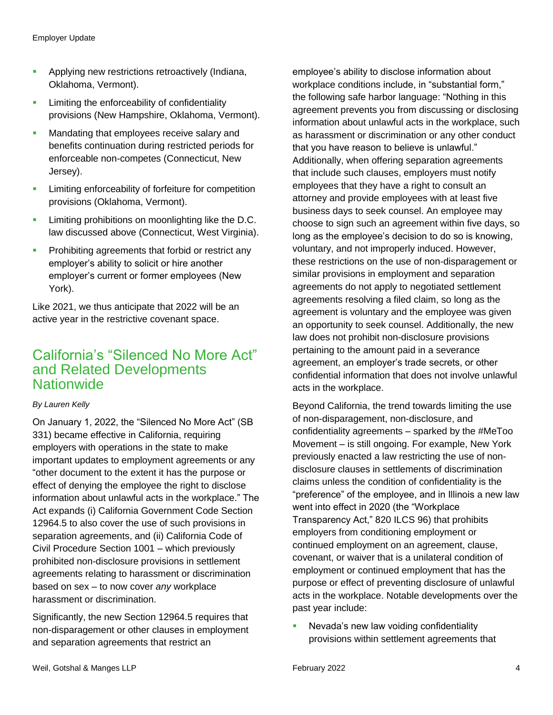- **Applying new restrictions retroactively (Indiana,** Oklahoma, Vermont).
- **EXEC** Limiting the enforceability of confidentiality provisions (New Hampshire, Oklahoma, Vermont).
- Mandating that employees receive salary and benefits continuation during restricted periods for enforceable non-competes (Connecticut, New Jersey).
- **EXECUTE:** Limiting enforceability of forfeiture for competition provisions (Oklahoma, Vermont).
- **Limiting prohibitions on moonlighting like the D.C.** law discussed above (Connecticut, West Virginia).
- **Prohibiting agreements that forbid or restrict any** employer's ability to solicit or hire another employer's current or former employees (New York).

Like 2021, we thus anticipate that 2022 will be an active year in the restrictive covenant space.

### <span id="page-3-0"></span>California's "Silenced No More Act" and Related Developments **Nationwide**

### *By Lauren Kelly*

On January 1, 2022, the "Silenced No More Act" (SB 331) became effective in California, requiring employers with operations in the state to make important updates to employment agreements or any "other document to the extent it has the purpose or effect of denying the employee the right to disclose information about unlawful acts in the workplace." The Act expands (i) California Government Code Section 12964.5 to also cover the use of such provisions in separation agreements, and (ii) California Code of Civil Procedure Section 1001 – which previously prohibited non-disclosure provisions in settlement agreements relating to harassment or discrimination based on sex – to now cover *any* workplace harassment or discrimination.

Significantly, the new Section 12964.5 requires that non-disparagement or other clauses in employment and separation agreements that restrict an

employee's ability to disclose information about workplace conditions include, in "substantial form," the following safe harbor language: "Nothing in this agreement prevents you from discussing or disclosing information about unlawful acts in the workplace, such as harassment or discrimination or any other conduct that you have reason to believe is unlawful." Additionally, when offering separation agreements that include such clauses, employers must notify employees that they have a right to consult an attorney and provide employees with at least five business days to seek counsel. An employee may choose to sign such an agreement within five days, so long as the employee's decision to do so is knowing, voluntary, and not improperly induced. However, these restrictions on the use of non-disparagement or similar provisions in employment and separation agreements do not apply to negotiated settlement agreements resolving a filed claim, so long as the agreement is voluntary and the employee was given an opportunity to seek counsel. Additionally, the new law does not prohibit non-disclosure provisions pertaining to the amount paid in a severance agreement, an employer's trade secrets, or other confidential information that does not involve unlawful acts in the workplace.

Beyond California, the trend towards limiting the use of non-disparagement, non-disclosure, and confidentiality agreements – sparked by the #MeToo Movement – is still ongoing. For example, New York previously enacted a law restricting the use of nondisclosure clauses in settlements of discrimination claims unless the condition of confidentiality is the "preference" of the employee, and in Illinois a new law went into effect in 2020 (the "Workplace Transparency Act," 820 ILCS 96) that prohibits employers from conditioning employment or continued employment on an agreement, clause, covenant, or waiver that is a unilateral condition of employment or continued employment that has the purpose or effect of preventing disclosure of unlawful acts in the workplace. Notable developments over the past year include:

**Nevada's new law voiding confidentiality** provisions within settlement agreements that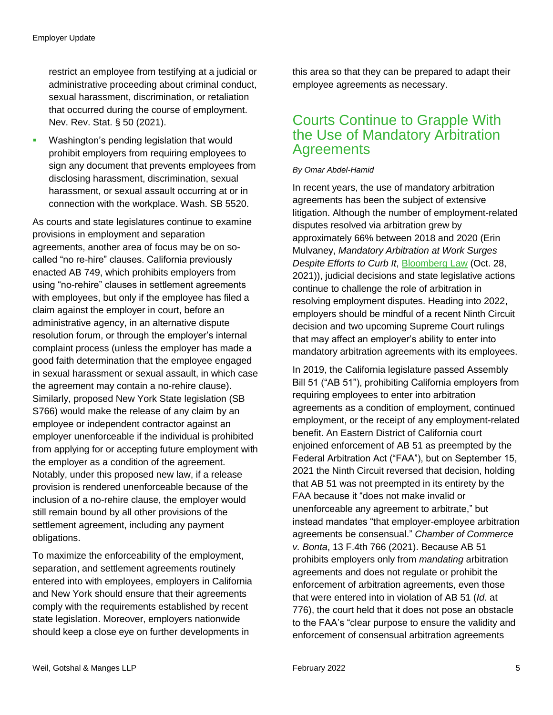restrict an employee from testifying at a judicial or administrative proceeding about criminal conduct, sexual harassment, discrimination, or retaliation that occurred during the course of employment. Nev. Rev. Stat. § 50 (2021).

**Washington's pending legislation that would** prohibit employers from requiring employees to sign any document that prevents employees from disclosing harassment, discrimination, sexual harassment, or sexual assault occurring at or in connection with the workplace. Wash. SB 5520.

As courts and state legislatures continue to examine provisions in employment and separation agreements, another area of focus may be on socalled "no re-hire" clauses. California previously enacted AB 749, which prohibits employers from using "no-rehire" clauses in settlement agreements with employees, but only if the employee has filed a claim against the employer in court, before an administrative agency, in an alternative dispute resolution forum, or through the employer's internal complaint process (unless the employer has made a good faith determination that the employee engaged in sexual harassment or sexual assault, in which case the agreement may contain a no-rehire clause). Similarly, proposed New York State legislation (SB S766) would make the release of any claim by an employee or independent contractor against an employer unenforceable if the individual is prohibited from applying for or accepting future employment with the employer as a condition of the agreement. Notably, under this proposed new law, if a release provision is rendered unenforceable because of the inclusion of a no-rehire clause, the employer would still remain bound by all other provisions of the settlement agreement, including any payment obligations.

To maximize the enforceability of the employment, separation, and settlement agreements routinely entered into with employees, employers in California and New York should ensure that their agreements comply with the requirements established by recent state legislation. Moreover, employers nationwide should keep a close eye on further developments in

this area so that they can be prepared to adapt their employee agreements as necessary.

# <span id="page-4-0"></span>Courts Continue to Grapple With the Use of Mandatory Arbitration **Agreements**

#### *By Omar Abdel-Hamid*

In recent years, the use of mandatory arbitration agreements has been the subject of extensive litigation. Although the number of employment-related disputes resolved via arbitration grew by approximately 66% between 2018 and 2020 (Erin Mulvaney, *Mandatory Arbitration at Work Surges Despite Efforts to Curb It*, [Bloomberg Law](https://news.bloomberglaw.com/daily-labor-report/mandatory-arbitration-at-work-surges-despite-efforts-to-curb-it) (Oct. 28, 2021)), judicial decisions and state legislative actions continue to challenge the role of arbitration in resolving employment disputes. Heading into 2022, employers should be mindful of a recent Ninth Circuit decision and two upcoming Supreme Court rulings that may affect an employer's ability to enter into mandatory arbitration agreements with its employees.

In 2019, the California legislature passed Assembly Bill 51 ("AB 51"), prohibiting California employers from requiring employees to enter into arbitration agreements as a condition of employment, continued employment, or the receipt of any employment-related benefit. An Eastern District of California court enjoined enforcement of AB 51 as preempted by the Federal Arbitration Act ("FAA"), but on September 15, 2021 the Ninth Circuit reversed that decision, holding that AB 51 was not preempted in its entirety by the FAA because it "does not make invalid or unenforceable any agreement to arbitrate," but instead mandates "that employer-employee arbitration agreements be consensual." *Chamber of Commerce v. Bonta*, 13 F.4th 766 (2021). Because AB 51 prohibits employers only from *mandating* arbitration agreements and does not regulate or prohibit the enforcement of arbitration agreements, even those that were entered into in violation of AB 51 (*Id.* at 776), the court held that it does not pose an obstacle to the FAA's "clear purpose to ensure the validity and enforcement of consensual arbitration agreements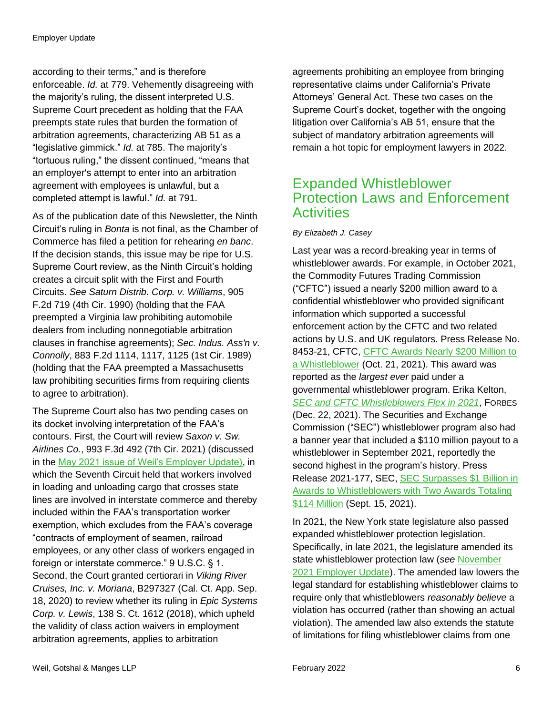according to their terms," and is therefore enforceable. *Id.* at 779. Vehemently disagreeing with the majority's ruling, the dissent interpreted U.S. Supreme Court precedent as holding that the FAA preempts state rules that burden the formation of arbitration agreements, characterizing AB 51 as a "legislative gimmick." *Id.* at 785. The majority's "tortuous ruling," the dissent continued, "means that an employer's attempt to enter into an arbitration agreement with employees is unlawful, but a completed attempt is lawful." *Id.* at 791.

As of the publication date of this Newsletter, the Ninth Circuit's ruling in *Bonta* is not final, as the Chamber of Commerce has filed a petition for rehearing *en banc*. If the decision stands, this issue may be ripe for U.S. Supreme Court review, as the Ninth Circuit's holding creates a circuit split with the First and Fourth Circuits. *See Saturn Distrib. Corp. v. Williams*, 905 F.2d 719 (4th Cir. 1990) (holding that the FAA preempted a Virginia law prohibiting automobile dealers from including nonnegotiable arbitration clauses in franchise agreements); *Sec. Indus. Ass'n v. Connolly*, 883 F.2d 1114, 1117, 1125 (1st Cir. 1989) (holding that the FAA preempted a Massachusetts law prohibiting securities firms from requiring clients to agree to arbitration).

The Supreme Court also has two pending cases on its docket involving interpretation of the FAA's contours. First, the Court will review *Saxon v. Sw. Airlines Co.*, 993 F.3d 492 (7th Cir. 2021) (discussed in the [May 2021 issue of Weil's Employer Update\)](https://www.weil.com/-/media/mailings/2021/q2/employer-update_may-2021.pdf), in which the Seventh Circuit held that workers involved in loading and unloading cargo that crosses state lines are involved in interstate commerce and thereby included within the FAA's transportation worker exemption, which excludes from the FAA's coverage "contracts of employment of seamen, railroad employees, or any other class of workers engaged in foreign or interstate commerce." 9 U.S.C. § 1. Second, the Court granted certiorari in *Viking River Cruises, Inc. v. Moriana*, B297327 (Cal. Ct. App. Sep. 18, 2020) to review whether its ruling in *Epic Systems Corp. v. Lewis*, 138 S. Ct. 1612 (2018), which upheld the validity of class action waivers in employment arbitration agreements, applies to arbitration

agreements prohibiting an employee from bringing representative claims under California's Private Attorneys' General Act. These two cases on the Supreme Court's docket, together with the ongoing litigation over California's AB 51, ensure that the subject of mandatory arbitration agreements will remain a hot topic for employment lawyers in 2022.

# <span id="page-5-0"></span>Expanded Whistleblower Protection Laws and Enforcement **Activities**

### *By Elizabeth J. Casey*

Last year was a record-breaking year in terms of whistleblower awards. For example, in October 2021, the Commodity Futures Trading Commission ("CFTC") issued a nearly \$200 million award to a confidential whistleblower who provided significant information which supported a successful enforcement action by the CFTC and two related actions by U.S. and UK regulators. Press Release No. 8453-21, CFTC, [CFTC Awards Nearly \\$200 Million to](https://www.cftc.gov/PressRoom/PressReleases/8453-21)  [a Whistleblower](https://www.cftc.gov/PressRoom/PressReleases/8453-21) (Oct. 21, 2021). This award was reported as the *largest ever* paid under a governmental whistleblower program. Erika Kelton, *[SEC and CFTC Whistleblowers Flex in 2021](https://www.forbes.com/sites/erikakelton/2021/12/22/sec-and-cftc-whistleblowers-flex-in-2021/?sh=23f62910d42e)*, FORBES (Dec. 22, 2021). The Securities and Exchange Commission ("SEC") whistleblower program also had a banner year that included a \$110 million payout to a whistleblower in September 2021, reportedly the second highest in the program's history. Press Release 2021-177, SEC, [SEC Surpasses \\$1 Billion in](https://www.sec.gov/news/press-release/2021-177)  [Awards to Whistleblowers with Two Awards Totaling](https://www.sec.gov/news/press-release/2021-177)  [\\$114 Million](https://www.sec.gov/news/press-release/2021-177) (Sept. 15, 2021).

In 2021, the New York state legislature also passed expanded whistleblower protection legislation. Specifically, in late 2021, the legislature amended its state whistleblower protection law (*see* [November](https://www.weil.com/-/media/mailings/2021/q4/eu-november.pdf)  [2021 Employer Update\)](https://www.weil.com/-/media/mailings/2021/q4/eu-november.pdf). The amended law lowers the legal standard for establishing whistleblower claims to require only that whistleblowers *reasonably believe* a violation has occurred (rather than showing an actual violation). The amended law also extends the statute of limitations for filing whistleblower claims from one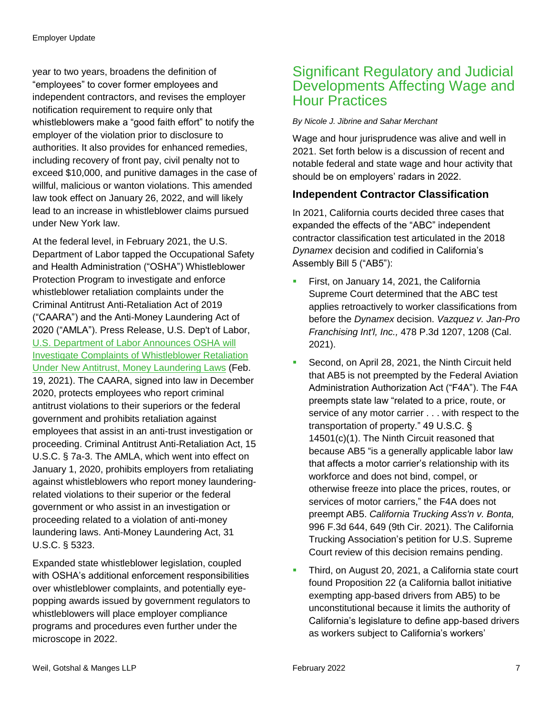year to two years, broadens the definition of "employees" to cover former employees and independent contractors, and revises the employer notification requirement to require only that whistleblowers make a "good faith effort" to notify the employer of the violation prior to disclosure to authorities. It also provides for enhanced remedies, including recovery of front pay, civil penalty not to exceed \$10,000, and punitive damages in the case of willful, malicious or wanton violations. This amended law took effect on January 26, 2022, and will likely lead to an increase in whistleblower claims pursued under New York law.

At the federal level, in February 2021, the U.S. Department of Labor tapped the Occupational Safety and Health Administration ("OSHA") Whistleblower Protection Program to investigate and enforce whistleblower retaliation complaints under the Criminal Antitrust Anti-Retaliation Act of 2019 ("CAARA") and the Anti-Money Laundering Act of 2020 ("AMLA"). Press Release, U.S. Dep't of Labor, [U.S. Department of Labor Announces OSHA will](https://www.osha.gov/news/newsreleases/national/02192021)  [Investigate Complaints of Whistleblower Retaliation](https://www.osha.gov/news/newsreleases/national/02192021)  [Under New Antitrust, Money Laundering Laws](https://www.osha.gov/news/newsreleases/national/02192021) (Feb. 19, 2021). The CAARA, signed into law in December 2020, protects employees who report criminal antitrust violations to their superiors or the federal government and prohibits retaliation against employees that assist in an anti-trust investigation or proceeding. Criminal Antitrust Anti-Retaliation Act, 15 U.S.C. § 7a-3. The AMLA, which went into effect on January 1, 2020, prohibits employers from retaliating against whistleblowers who report money launderingrelated violations to their superior or the federal government or who assist in an investigation or proceeding related to a violation of anti-money laundering laws. Anti-Money Laundering Act, 31 U.S.C. § 5323.

Expanded state whistleblower legislation, coupled with OSHA's additional enforcement responsibilities over whistleblower complaints, and potentially eyepopping awards issued by government regulators to whistleblowers will place employer compliance programs and procedures even further under the microscope in 2022.

# <span id="page-6-0"></span>Significant Regulatory and Judicial Developments Affecting Wage and Hour Practices

#### *By Nicole J. Jibrine and Sahar Merchant*

Wage and hour jurisprudence was alive and well in 2021. Set forth below is a discussion of recent and notable federal and state wage and hour activity that should be on employers' radars in 2022.

### **Independent Contractor Classification**

In 2021, California courts decided three cases that expanded the effects of the "ABC" independent contractor classification test articulated in the 2018 *Dynamex* decision and codified in California's Assembly Bill 5 ("AB5"):

- First, on January 14, 2021, the California Supreme Court determined that the ABC test applies retroactively to worker classifications from before the *Dynamex* decision. *Vazquez v. Jan-Pro Franchising Int'l, Inc.,* 478 P.3d 1207, 1208 (Cal. 2021).
- Second, on April 28, 2021, the Ninth Circuit held that AB5 is not preempted by the Federal Aviation Administration Authorization Act ("F4A"). The F4A preempts state law "related to a price, route, or service of any motor carrier . . . with respect to the transportation of property." 49 U.S.C. § 14501(c)(1). The Ninth Circuit reasoned that because AB5 "is a generally applicable labor law that affects a motor carrier's relationship with its workforce and does not bind, compel, or otherwise freeze into place the prices, routes, or services of motor carriers," the F4A does not preempt AB5. *California Trucking Ass'n v. Bonta,*  996 F.3d 644, 649 (9th Cir. 2021). The California Trucking Association's petition for U.S. Supreme Court review of this decision remains pending.
- Third, on August 20, 2021, a California state court found Proposition 22 (a California ballot initiative exempting app-based drivers from AB5) to be unconstitutional because it limits the authority of California's legislature to define app-based drivers as workers subject to California's workers'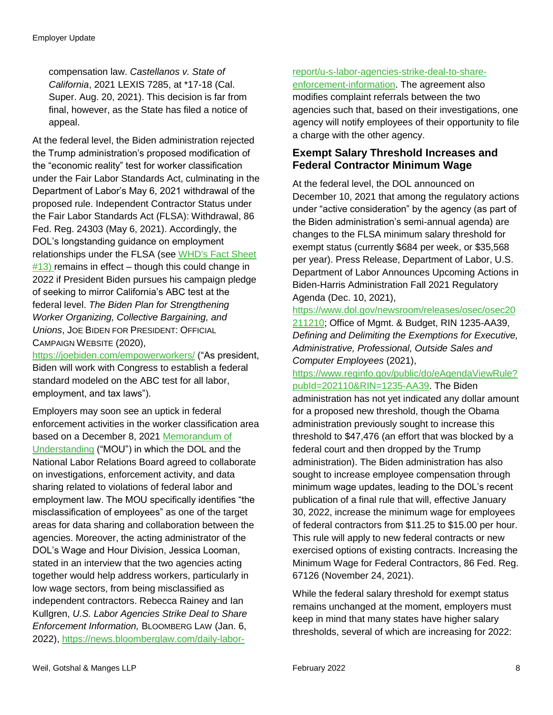compensation law. *Castellanos v. State of California*, 2021 LEXIS 7285, at \*17-18 (Cal. Super. Aug. 20, 2021). This decision is far from final, however, as the State has filed a notice of appeal.

At the federal level, the Biden administration rejected the Trump administration's proposed modification of the "economic reality" test for worker classification under the Fair Labor Standards Act, culminating in the Department of Labor's May 6, 2021 withdrawal of the proposed rule. Independent Contractor Status under the Fair Labor Standards Act (FLSA): Withdrawal, 86 Fed. Reg. 24303 (May 6, 2021). Accordingly, the DOL's longstanding guidance on employment relationships under the FLSA (see [WHD's Fact Sheet](https://www.dol.gov/agencies/whd/fact-sheets/13-flsa-employment-relationship)   $#13$ ) remains in effect – though this could change in 2022 if President Biden pursues his campaign pledge of seeking to mirror California's ABC test at the federal level. *The Biden Plan for Strengthening Worker Organizing, Collective Bargaining, and Unions*, JOE BIDEN FOR PRESIDENT: OFFICIAL CAMPAIGN WEBSITE (2020),

<https://joebiden.com/empowerworkers/> ("As president, Biden will work with Congress to establish a federal standard modeled on the ABC test for all labor, employment, and tax laws").

Employers may soon see an uptick in federal enforcement activities in the worker classification area based on a December 8, 2021 [Memorandum of](https://aboutblaw.com/08n)  [Understanding](https://aboutblaw.com/08n) ("MOU") in which the DOL and the National Labor Relations Board agreed to collaborate on investigations, enforcement activity, and data sharing related to violations of federal labor and employment law. The MOU specifically identifies "the misclassification of employees" as one of the target areas for data sharing and collaboration between the agencies. Moreover, the acting administrator of the DOL's Wage and Hour Division, Jessica Looman, stated in an interview that the two agencies acting together would help address workers, particularly in low wage sectors, from being misclassified as independent contractors. Rebecca Rainey and Ian Kullgren, *U.S. Labor Agencies Strike Deal to Share Enforcement Information,* BLOOMBERG LAW (Jan. 6, 2022), [https://news.bloomberglaw.com/daily-labor-](https://news.bloomberglaw.com/daily-labor-report/u-s-labor-agencies-strike-deal-to-share-enforcement-information)

### [report/u-s-labor-agencies-strike-deal-to-share-](https://news.bloomberglaw.com/daily-labor-report/u-s-labor-agencies-strike-deal-to-share-enforcement-information)

[enforcement-information.](https://news.bloomberglaw.com/daily-labor-report/u-s-labor-agencies-strike-deal-to-share-enforcement-information) The agreement also modifies complaint referrals between the two agencies such that, based on their investigations, one agency will notify employees of their opportunity to file a charge with the other agency.

### **Exempt Salary Threshold Increases and Federal Contractor Minimum Wage**

At the federal level, the DOL announced on December 10, 2021 that among the regulatory actions under "active consideration" by the agency (as part of the Biden administration's semi-annual agenda) are changes to the FLSA minimum salary threshold for exempt status (currently \$684 per week, or \$35,568 per year). Press Release, Department of Labor, U.S. Department of Labor Announces Upcoming Actions in Biden-Harris Administration Fall 2021 Regulatory Agenda (Dec. 10, 2021),

[https://www.dol.gov/newsroom/releases/osec/osec20](https://www.dol.gov/newsroom/releases/osec/osec20211210) [211210;](https://www.dol.gov/newsroom/releases/osec/osec20211210) Office of Mgmt. & Budget, RIN 1235-AA39, *Defining and Delimiting the Exemptions for Executive, Administrative, Professional, Outside Sales and Computer Employees* (2021),

[https://www.reginfo.gov/public/do/eAgendaViewRule?](https://www.reginfo.gov/public/do/eAgendaViewRule?pubId=202110&RIN=1235-AA39) [pubId=202110&RIN=1235-AA39.](https://www.reginfo.gov/public/do/eAgendaViewRule?pubId=202110&RIN=1235-AA39) The Biden administration has not yet indicated any dollar amount for a proposed new threshold, though the Obama administration previously sought to increase this threshold to \$47,476 (an effort that was blocked by a federal court and then dropped by the Trump administration). The Biden administration has also sought to increase employee compensation through minimum wage updates, leading to the DOL's recent publication of a final rule that will, effective January 30, 2022, increase the minimum wage for employees of federal contractors from \$11.25 to \$15.00 per hour. This rule will apply to new federal contracts or new exercised options of existing contracts. Increasing the Minimum Wage for Federal Contractors, 86 Fed. Reg. 67126 (November 24, 2021).

While the federal salary threshold for exempt status remains unchanged at the moment, employers must keep in mind that many states have higher salary thresholds, several of which are increasing for 2022: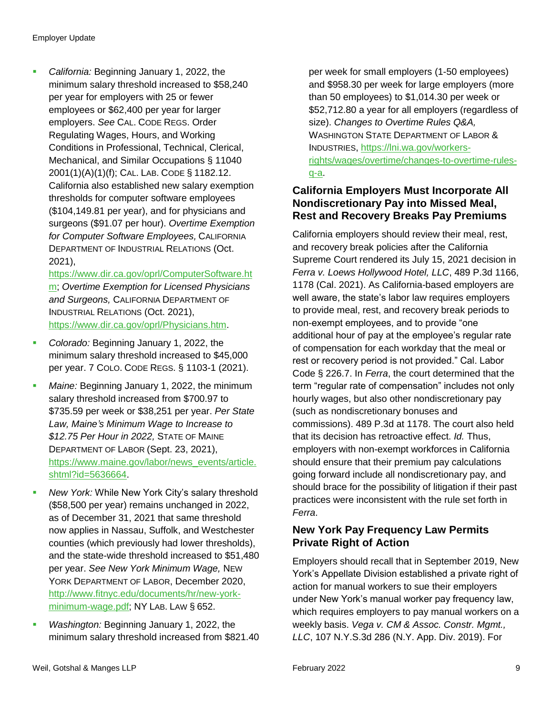*California:* Beginning January 1, 2022, the minimum salary threshold increased to \$58,240 per year for employers with 25 or fewer employees or \$62,400 per year for larger employers. *See* CAL. CODE REGS. Order Regulating Wages, Hours, and Working Conditions in Professional, Technical, Clerical, Mechanical, and Similar Occupations § 11040 2001(1)(A)(1)(f); CAL. LAB. CODE § 1182.12. California also established new salary exemption thresholds for computer software employees (\$104,149.81 per year), and for physicians and surgeons (\$91.07 per hour). *Overtime Exemption for Computer Software Employees,* CALIFORNIA DEPARTMENT OF INDUSTRIAL RELATIONS (Oct. 2021),

[https://www.dir.ca.gov/oprl/ComputerSoftware.ht](https://www.dir.ca.gov/oprl/ComputerSoftware.htm) [m;](https://www.dir.ca.gov/oprl/ComputerSoftware.htm) *Overtime Exemption for Licensed Physicians and Surgeons,* CALIFORNIA DEPARTMENT OF INDUSTRIAL RELATIONS (Oct. 2021), [https://www.dir.ca.gov/oprl/Physicians.htm.](https://www.dir.ca.gov/oprl/Physicians.htm)

- *Colorado:* Beginning January 1, 2022, the minimum salary threshold increased to \$45,000 per year. 7 COLO. CODE REGS. § 1103-1 (2021).
- *Maine:* Beginning January 1, 2022, the minimum salary threshold increased from \$700.97 to \$735.59 per week or \$38,251 per year. *Per State Law, Maine's Minimum Wage to Increase to \$12.75 Per Hour in 2022,* STATE OF MAINE DEPARTMENT OF LABOR (Sept. 23, 2021), [https://www.maine.gov/labor/news\\_events/article.](https://www.maine.gov/labor/news_events/article.shtml?id=5636664) [shtml?id=5636664.](https://www.maine.gov/labor/news_events/article.shtml?id=5636664)
- *New York:* While New York City's salary threshold (\$58,500 per year) remains unchanged in 2022, as of December 31, 2021 that same threshold now applies in Nassau, Suffolk, and Westchester counties (which previously had lower thresholds), and the state-wide threshold increased to \$51,480 per year. *See New York Minimum Wage,* NEW YORK DEPARTMENT OF LABOR, December 2020, [http://www.fitnyc.edu/documents/hr/new-york](http://www.fitnyc.edu/documents/hr/new-york-minimum-wage.pdf)[minimum-wage.pdf;](http://www.fitnyc.edu/documents/hr/new-york-minimum-wage.pdf) NY LAB. LAW § 652.
- *Washington:* Beginning January 1, 2022, the minimum salary threshold increased from \$821.40

per week for small employers (1-50 employees) and \$958.30 per week for large employers (more than 50 employees) to \$1,014.30 per week or \$52,712.80 a year for all employers (regardless of size). *Changes to Overtime Rules Q&A,*  WASHINGTON STATE DEPARTMENT OF LABOR & INDUSTRIES, [https://lni.wa.gov/workers](https://lni.wa.gov/workers-rights/wages/overtime/changes-to-overtime-rules-q-a)[rights/wages/overtime/changes-to-overtime-rules](https://lni.wa.gov/workers-rights/wages/overtime/changes-to-overtime-rules-q-a)[q-a.](https://lni.wa.gov/workers-rights/wages/overtime/changes-to-overtime-rules-q-a)

### **California Employers Must Incorporate All Nondiscretionary Pay into Missed Meal, Rest and Recovery Breaks Pay Premiums**

California employers should review their meal, rest, and recovery break policies after the California Supreme Court rendered its July 15, 2021 decision in *Ferra v. Loews Hollywood Hotel, LLC*, 489 P.3d 1166, 1178 (Cal. 2021). As California-based employers are well aware, the state's labor law requires employers to provide meal, rest, and recovery break periods to non-exempt employees, and to provide "one additional hour of pay at the employee's regular rate of compensation for each workday that the meal or rest or recovery period is not provided." Cal. Labor Code § 226.7. In *Ferra*, the court determined that the term "regular rate of compensation" includes not only hourly wages, but also other nondiscretionary pay (such as nondiscretionary bonuses and commissions). 489 P.3d at 1178. The court also held that its decision has retroactive effect. *Id.* Thus, employers with non-exempt workforces in California should ensure that their premium pay calculations going forward include all nondiscretionary pay, and should brace for the possibility of litigation if their past practices were inconsistent with the rule set forth in *Ferra*.

### **New York Pay Frequency Law Permits Private Right of Action**

Employers should recall that in September 2019, New York's Appellate Division established a private right of action for manual workers to sue their employers under New York's manual worker pay frequency law, which requires employers to pay manual workers on a weekly basis. *Vega v. CM & Assoc. Constr. Mgmt., LLC*, 107 N.Y.S.3d 286 (N.Y. App. Div. 2019). For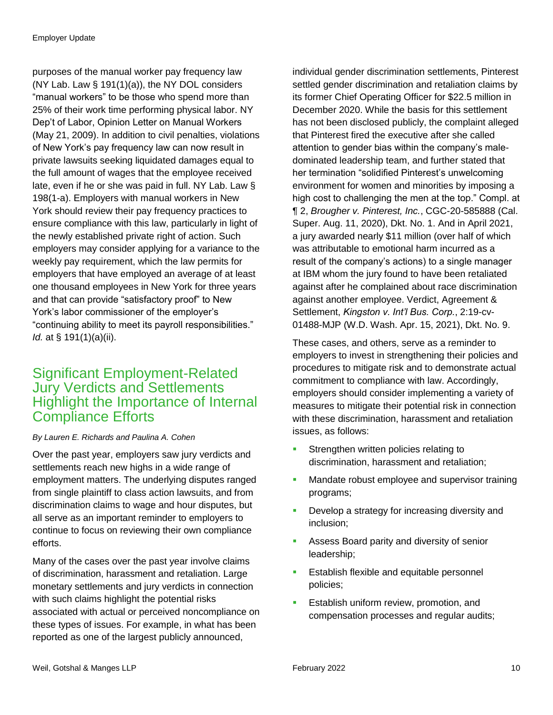purposes of the manual worker pay frequency law (NY Lab. Law § 191(1)(a)), the NY DOL considers "manual workers" to be those who spend more than 25% of their work time performing physical labor. NY Dep't of Labor, Opinion Letter on Manual Workers (May 21, 2009). In addition to civil penalties, violations of New York's pay frequency law can now result in private lawsuits seeking liquidated damages equal to the full amount of wages that the employee received late, even if he or she was paid in full. NY Lab. Law § 198(1-a). Employers with manual workers in New York should review their pay frequency practices to ensure compliance with this law, particularly in light of the newly established private right of action. Such employers may consider applying for a variance to the weekly pay requirement, which the law permits for employers that have employed an average of at least one thousand employees in New York for three years and that can provide "satisfactory proof" to New York's labor commissioner of the employer's "continuing ability to meet its payroll responsibilities." *Id.* at § 191(1)(a)(ii).

# <span id="page-9-0"></span>Significant Employment-Related Jury Verdicts and Settlements Highlight the Importance of Internal Compliance Efforts

### *By Lauren E. Richards and Paulina A. Cohen*

Over the past year, employers saw jury verdicts and settlements reach new highs in a wide range of employment matters. The underlying disputes ranged from single plaintiff to class action lawsuits, and from discrimination claims to wage and hour disputes, but all serve as an important reminder to employers to continue to focus on reviewing their own compliance efforts.

Many of the cases over the past year involve claims of discrimination, harassment and retaliation. Large monetary settlements and jury verdicts in connection with such claims highlight the potential risks associated with actual or perceived noncompliance on these types of issues. For example, in what has been reported as one of the largest publicly announced,

individual gender discrimination settlements, Pinterest settled gender discrimination and retaliation claims by its former Chief Operating Officer for \$22.5 million in December 2020. While the basis for this settlement has not been disclosed publicly, the complaint alleged that Pinterest fired the executive after she called attention to gender bias within the company's maledominated leadership team, and further stated that her termination "solidified Pinterest's unwelcoming environment for women and minorities by imposing a high cost to challenging the men at the top." Compl. at ¶ 2, *Brougher v. Pinterest, Inc.*, CGC-20-585888 (Cal. Super. Aug. 11, 2020), Dkt. No. 1. And in April 2021, a jury awarded nearly \$11 million (over half of which was attributable to emotional harm incurred as a result of the company's actions) to a single manager at IBM whom the jury found to have been retaliated against after he complained about race discrimination against another employee. Verdict, Agreement & Settlement, *Kingston v. Int'l Bus. Corp.*, 2:19-cv-01488-MJP (W.D. Wash. Apr. 15, 2021), Dkt. No. 9.

These cases, and others, serve as a reminder to employers to invest in strengthening their policies and procedures to mitigate risk and to demonstrate actual commitment to compliance with law. Accordingly, employers should consider implementing a variety of measures to mitigate their potential risk in connection with these discrimination, harassment and retaliation issues, as follows:

- Strengthen written policies relating to discrimination, harassment and retaliation;
- Mandate robust employee and supervisor training programs;
- **Develop a strategy for increasing diversity and** inclusion;
- **Assess Board parity and diversity of senior** leadership;
- Establish flexible and equitable personnel policies;
- **Establish uniform review, promotion, and** compensation processes and regular audits;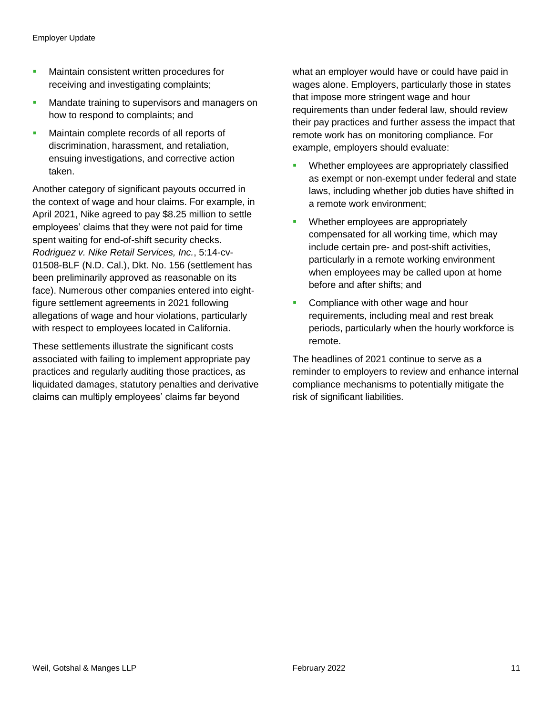- **Maintain consistent written procedures for** receiving and investigating complaints;
- **Mandate training to supervisors and managers on** how to respond to complaints; and
- **Maintain complete records of all reports of** discrimination, harassment, and retaliation, ensuing investigations, and corrective action taken.

Another category of significant payouts occurred in the context of wage and hour claims. For example, in April 2021, Nike agreed to pay \$8.25 million to settle employees' claims that they were not paid for time spent waiting for end-of-shift security checks. *Rodriguez v. Nike Retail Services, Inc.*, 5:14-cv-01508-BLF (N.D. Cal.), Dkt. No. 156 (settlement has been preliminarily approved as reasonable on its face). Numerous other companies entered into eightfigure settlement agreements in 2021 following allegations of wage and hour violations, particularly with respect to employees located in California.

These settlements illustrate the significant costs associated with failing to implement appropriate pay practices and regularly auditing those practices, as liquidated damages, statutory penalties and derivative claims can multiply employees' claims far beyond

what an employer would have or could have paid in wages alone. Employers, particularly those in states that impose more stringent wage and hour requirements than under federal law, should review their pay practices and further assess the impact that remote work has on monitoring compliance. For example, employers should evaluate:

- **Whether employees are appropriately classified** as exempt or non-exempt under federal and state laws, including whether job duties have shifted in a remote work environment;
- Whether employees are appropriately compensated for all working time, which may include certain pre- and post-shift activities, particularly in a remote working environment when employees may be called upon at home before and after shifts; and
- **Compliance with other wage and hour** requirements, including meal and rest break periods, particularly when the hourly workforce is remote.

The headlines of 2021 continue to serve as a reminder to employers to review and enhance internal compliance mechanisms to potentially mitigate the risk of significant liabilities.